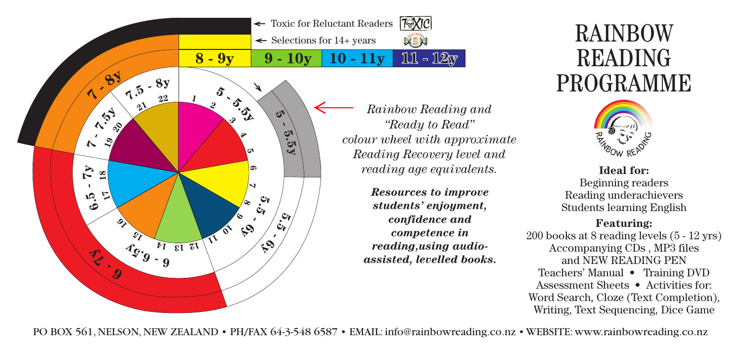

*Rainbow Reading and "Ready to Read" colour wheel with approximate Reading Recovery level and reading age equivalents.*

> *Resources to improve students' enjoyment, confidence and competence in reading,using audioassisted, levelled books.*

## RAINBOW READING PROGRAMME



**Ideal for:** Beginning readers Reading underachievers Students learning English

## **Featuring:**

200 books at 8 reading levels (5 - 12 yrs) Accompanying CDs , MP3 files and NEW READING PEN Teachers' Manual • Training DVD Assessment Sheets • Activities for: Word Search, Cloze (Text Completion), Writing, Text Sequencing, Dice Game